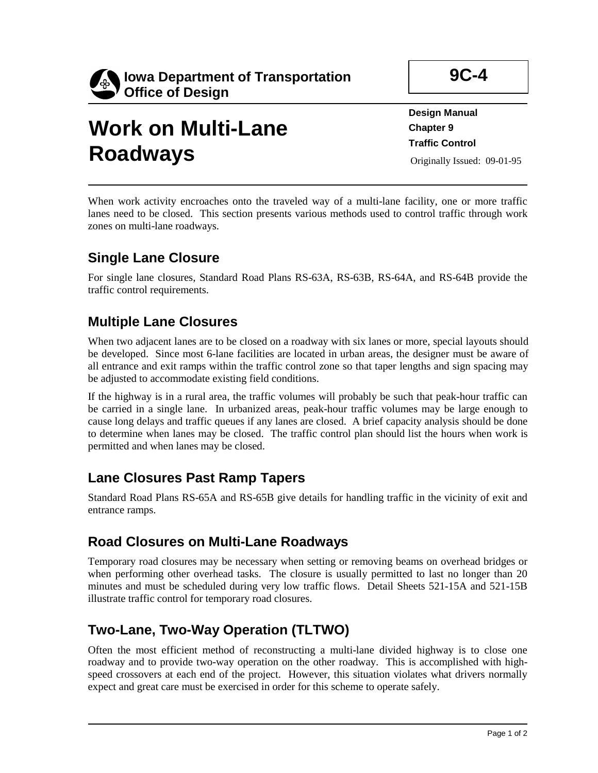

# **Work on Multi-Lane Roadways**

**9C-4** 

**Design Manual Chapter 9 Traffic Control**  Originally Issued: 09-01-95

When work activity encroaches onto the traveled way of a multi-lane facility, one or more traffic lanes need to be closed. This section presents various methods used to control traffic through work zones on multi-lane roadways.

### **Single Lane Closure**

For single lane closures, Standard Road Plans RS-63A, RS-63B, RS-64A, and RS-64B provide the traffic control requirements.

# **Multiple Lane Closures**

When two adjacent lanes are to be closed on a roadway with six lanes or more, special layouts should be developed. Since most 6-lane facilities are located in urban areas, the designer must be aware of all entrance and exit ramps within the traffic control zone so that taper lengths and sign spacing may be adjusted to accommodate existing field conditions.

If the highway is in a rural area, the traffic volumes will probably be such that peak-hour traffic can be carried in a single lane. In urbanized areas, peak-hour traffic volumes may be large enough to cause long delays and traffic queues if any lanes are closed. A brief capacity analysis should be done to determine when lanes may be closed. The traffic control plan should list the hours when work is permitted and when lanes may be closed.

#### **Lane Closures Past Ramp Tapers**

Standard Road Plans RS-65A and RS-65B give details for handling traffic in the vicinity of exit and entrance ramps.

#### **Road Closures on Multi-Lane Roadways**

Temporary road closures may be necessary when setting or removing beams on overhead bridges or when performing other overhead tasks. The closure is usually permitted to last no longer than 20 minutes and must be scheduled during very low traffic flows. Detail Sheets 521-15A and 521-15B illustrate traffic control for temporary road closures.

# **Two-Lane, Two-Way Operation (TLTWO)**

Often the most efficient method of reconstructing a multi-lane divided highway is to close one roadway and to provide two-way operation on the other roadway. This is accomplished with highspeed crossovers at each end of the project. However, this situation violates what drivers normally expect and great care must be exercised in order for this scheme to operate safely.